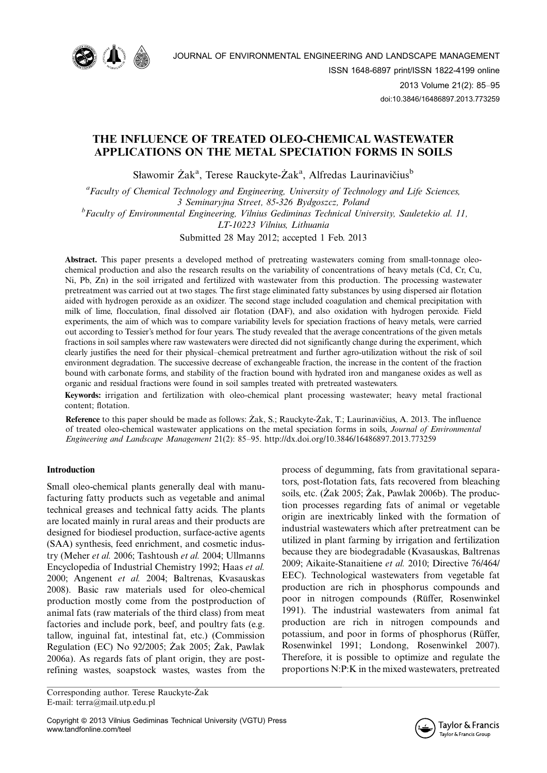

# THE INFLUENCE OF TREATED OLEO-CHEMICAL WASTEWATER APPLICATIONS ON THE METAL SPECIATION FORMS IN SOILS

Sławomir Żak<sup>a</sup>, Terese Rauckyte-Żak<sup>a</sup>, Alfredas Laurinavičius<sup>b</sup>

<sup>a</sup> Faculty of Chemical Technology and Engineering, University of Technology and Life Sciences, 3 Seminaryjna Street, 85-326 Bydgoszcz, Poland

<sup>b</sup> Faculty of Environmental Engineering, Vilnius Gediminas Technical University, Sauletekio al. 11,

LT-10223 Vilnius, Lithuania

Submitted 28 May 2012; accepted 1 Feb. 2013

Abstract. This paper presents a developed method of pretreating wastewaters coming from small-tonnage oleochemical production and also the research results on the variability of concentrations of heavy metals (Cd, Cr, Cu, Ni, Pb, Zn) in the soil irrigated and fertilized with wastewater from this production. The processing wastewater pretreatment was carried out at two stages. The first stage eliminated fatty substances by using dispersed air flotation aided with hydrogen peroxide as an oxidizer. The second stage included coagulation and chemical precipitation with milk of lime, flocculation, final dissolved air flotation (DAF), and also oxidation with hydrogen peroxide. Field experiments, the aim of which was to compare variability levels for speciation fractions of heavy metals, were carried out according to Tessier's method for four years. The study revealed that the average concentrations of the given metals fractions in soil samples where raw wastewaters were directed did not significantly change during the experiment, which clearly justifies the need for their physical–chemical pretreatment and further agro-utilization without the risk of soil environment degradation. The successive decrease of exchangeable fraction, the increase in the content of the fraction bound with carbonate forms, and stability of the fraction bound with hydrated iron and manganese oxides as well as organic and residual fractions were found in soil samples treated with pretreated wastewaters.

Keywords: irrigation and fertilization with oleo-chemical plant processing wastewater; heavy metal fractional content; flotation.

**Reference** to this paper should be made as follows:  $\overline{Zak}$ , S.; Rauckyte- $\overline{Zak}$ , T.; Laurinavičius, A. 2013. The influence of treated oleo-chemical wastewater applications on the metal speciation forms in soils, Journal of Environmental Engineering and Landscape Management 21(2): 85-95.<http://dx.doi.org/10.3846/16486897.2013.773259>

# Introduction

Small oleo-chemical plants generally deal with manufacturing fatty products such as vegetable and animal technical greases and technical fatty acids. The plants are located mainly in rural areas and their products are designed for biodiesel production, surface-active agents (SAA) synthesis, feed enrichment, and cosmetic industry (Meher et al. 2006; Tashtoush et al. 2004; Ullmanns Encyclopedia of Industrial Chemistry 1992; Haas et al. 2000; Angenent et al. 2004; Baltrenas, Kvasauskas 2008). Basic raw materials used for oleo-chemical production mostly come from the postproduction of animal fats (raw materials of the third class) from meat factories and include pork, beef, and poultry fats (e.g. tallow, inguinal fat, intestinal fat, etc.) (Commission Regulation (EC) No  $92/2005$ ;  $\overline{Z}$ ak 2005;  $\overline{Z}$ ak, Pawlak 2006a). As regards fats of plant origin, they are postrefining wastes, soapstock wastes, wastes from the

Corresponding author. Terese Rauckyte-Żak E-mail: terra@mail.utp.edu.pl

Copyright @ 2013 Vilnius Gediminas Technical University (VGTU) Press www.tandfonline.com/teel

process of degumming, fats from gravitational separators, post-flotation fats, fats recovered from bleaching soils, etc. (Żak 2005; Żak, Pawlak 2006b). The production processes regarding fats of animal or vegetable origin are inextricably linked with the formation of industrial wastewaters which after pretreatment can be utilized in plant farming by irrigation and fertilization because they are biodegradable (Kvasauskas, Baltrenas 2009; Aikaite-Stanaitiene et al. 2010; Directive 76/464/ EEC). Technological wastewaters from vegetable fat production are rich in phosphorus compounds and poor in nitrogen compounds (Rüffer, Rosenwinkel 1991). The industrial wastewaters from animal fat production are rich in nitrogen compounds and potassium, and poor in forms of phosphorus (Rüffer, Rosenwinkel 1991; Londong, Rosenwinkel 2007). Therefore, it is possible to optimize and regulate the proportions N:P:K in the mixed wastewaters, pretreated

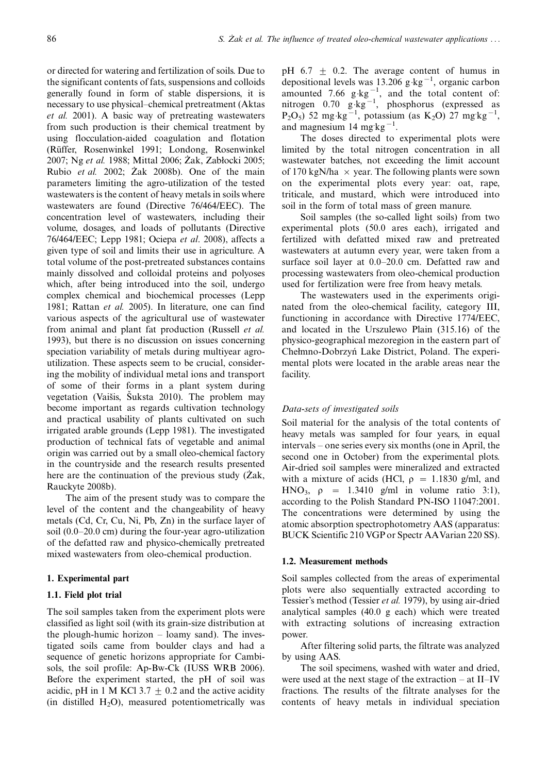or directed for watering and fertilization of soils. Due to the significant contents of fats, suspensions and colloids generally found in form of stable dispersions, it is necessary to use physical–chemical pretreatment (Aktas et al. 2001). A basic way of pretreating wastewaters from such production is their chemical treatment by using flocculation-aided coagulation and flotation (Rüffer, Rosenwinkel 1991; Londong, Rosenwinkel 2007; Ng et al. 1988; Mittal 2006; Żak, Zabłocki 2005; Rubio *et al.* 2002; Zak 2008b). One of the main parameters limiting the agro-utilization of the tested wastewaters is the content of heavy metals in soils where wastewaters are found (Directive 76/464/EEC). The concentration level of wastewaters, including their volume, dosages, and loads of pollutants (Directive 76/464/EEC; Lepp 1981; Ociepa et al. 2008), affects a given type of soil and limits their use in agriculture. A total volume of the post-pretreated substances contains mainly dissolved and colloidal proteins and polyoses which, after being introduced into the soil, undergo complex chemical and biochemical processes (Lepp 1981; Rattan et al. 2005). In literature, one can find various aspects of the agricultural use of wastewater from animal and plant fat production (Russell et al. 1993), but there is no discussion on issues concerning speciation variability of metals during multiyear agroutilization. These aspects seem to be crucial, considering the mobility of individual metal ions and transport of some of their forms in a plant system during vegetation (Vaišis, Šuksta 2010). The problem may become important as regards cultivation technology and practical usability of plants cultivated on such irrigated arable grounds (Lepp 1981). The investigated production of technical fats of vegetable and animal origin was carried out by a small oleo-chemical factory in the countryside and the research results presented here are the continuation of the previous study  $(Zak,$ Rauckyte 2008b).

The aim of the present study was to compare the level of the content and the changeability of heavy metals (Cd, Cr, Cu, Ni, Pb, Zn) in the surface layer of soil  $(0.0-20.0 \text{ cm})$  during the four-year agro-utilization of the defatted raw and physico-chemically pretreated mixed wastewaters from oleo-chemical production.

## 1. Experimental part

## 1.1. Field plot trial

The soil samples taken from the experiment plots were classified as light soil (with its grain-size distribution at the plough-humic horizon  $-$  loamy sand). The investigated soils came from boulder clays and had a sequence of genetic horizons appropriate for Cambisols, the soil profile: Ap-Bw-Ck (IUSS WRB 2006). Before the experiment started, the pH of soil was acidic, pH in 1 M KCl 3.7  $\pm$  0.2 and the active acidity (in distilled  $H_2O$ ), measured potentiometrically was pH 6.7  $\pm$  0.2. The average content of humus in depositional levels was  $13.206$  g $kg^{-1}$ , organic carbon amounted 7.66  $g \text{·kg}^{-1}$ , and the total content of: nitrogen 0.70  $g \text{ kg}^{-1}$ , phosphorus (expressed as  $P_2O_5$ ) 52 mg kg<sup>-1</sup>, potassium (as K<sub>2</sub>O) 27 mg kg<sup>-1</sup>, and magnesium  $14 \text{ mg} \text{ kg}^{-1}$ .

The doses directed to experimental plots were limited by the total nitrogen concentration in all wastewater batches, not exceeding the limit account of 170 kgN/ha  $\times$  year. The following plants were sown on the experimental plots every year: oat, rape, triticale, and mustard, which were introduced into soil in the form of total mass of green manure.

Soil samples (the so-called light soils) from two experimental plots (50.0 ares each), irrigated and fertilized with defatted mixed raw and pretreated wastewaters at autumn every year, were taken from a surface soil layer at  $0.0-20.0$  cm. Defatted raw and processing wastewaters from oleo-chemical production used for fertilization were free from heavy metals.

The wastewaters used in the experiments originated from the oleo-chemical facility, category III, functioning in accordance with Directive 1774/EEC, and located in the Urszulewo Plain (315.16) of the physico-geographical mezoregion in the eastern part of Chełmno-Dobrzyn´ Lake District, Poland. The experimental plots were located in the arable areas near the facility.

#### Data-sets of investigated soils

Soil material for the analysis of the total contents of heavy metals was sampled for four years, in equal intervals – one series every six months (one in April, the second one in October) from the experimental plots. Air-dried soil samples were mineralized and extracted with a mixture of acids (HCl,  $\rho = 1.1830$  g/ml, and HNO<sub>3</sub>,  $\rho = 1.3410$  g/ml in volume ratio 3:1), according to the Polish Standard PN-ISO 11047:2001. The concentrations were determined by using the atomic absorption spectrophotometry AAS (apparatus: BUCK Scientific 210 VGP or Spectr AAVarian 220 SS).

#### 1.2. Measurement methods

Soil samples collected from the areas of experimental plots were also sequentially extracted according to Tessier's method (Tessier et al. 1979), by using air-dried analytical samples (40.0 g each) which were treated with extracting solutions of increasing extraction power.

After filtering solid parts, the filtrate was analyzed by using AAS.

The soil specimens, washed with water and dried, were used at the next stage of the extraction  $-$  at II–IV fractions. The results of the filtrate analyses for the contents of heavy metals in individual speciation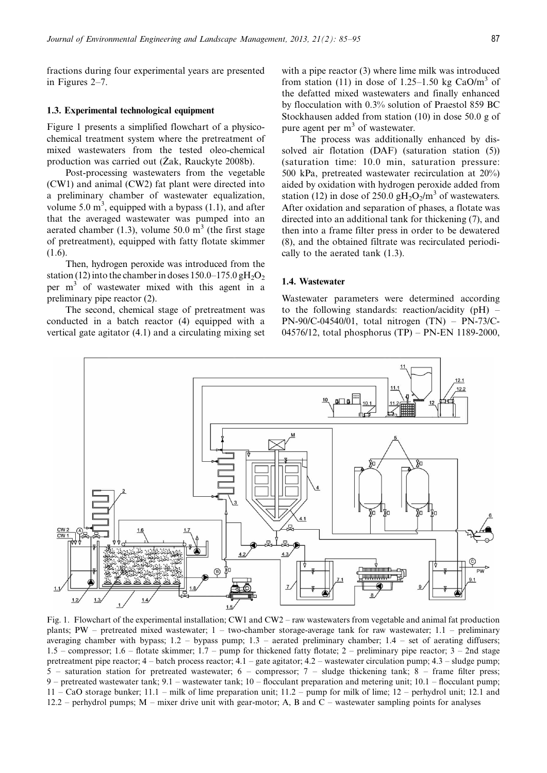fractions during four experimental years are presented in Figures  $2-7$ .

## 1.3. Experimental technological equipment

Figure 1 presents a simplified flowchart of a physicochemical treatment system where the pretreatment of mixed wastewaters from the tested oleo-chemical production was carried out ( $\overline{Zak}$ , Rauckyte 2008b).

Post-processing wastewaters from the vegetable (CW1) and animal (CW2) fat plant were directed into a preliminary chamber of wastewater equalization, volume 5.0  $\text{m}^3$ , equipped with a bypass (1.1), and after that the averaged wastewater was pumped into an aerated chamber (1.3), volume 50.0  $m<sup>3</sup>$  (the first stage of pretreatment), equipped with fatty flotate skimmer (1.6).

Then, hydrogen peroxide was introduced from the station (12) into the chamber in doses  $150.0-175.0$  gH<sub>2</sub>O<sub>2</sub> per m3 of wastewater mixed with this agent in a preliminary pipe reactor (2).

The second, chemical stage of pretreatment was conducted in a batch reactor (4) equipped with a vertical gate agitator (4.1) and a circulating mixing set

with a pipe reactor (3) where lime milk was introduced from station (11) in dose of 1.25–1.50 kg CaO/m<sup>3</sup> of the defatted mixed wastewaters and finally enhanced by flocculation with 0.3% solution of Praestol 859 BC Stockhausen added from station (10) in dose 50.0 g of pure agent per  $m<sup>3</sup>$  of wastewater.

The process was additionally enhanced by dissolved air flotation (DAF) (saturation station (5)) (saturation time: 10.0 min, saturation pressure: 500 kPa, pretreated wastewater recirculation at 20%) aided by oxidation with hydrogen peroxide added from station (12) in dose of 250.0 gH<sub>2</sub>O<sub>2</sub>/m<sup>3</sup> of wastewaters. After oxidation and separation of phases, a flotate was directed into an additional tank for thickening (7), and then into a frame filter press in order to be dewatered (8), and the obtained filtrate was recirculated periodically to the aerated tank (1.3).

# 1.4. Wastewater

Wastewater parameters were determined according to the following standards: reaction/acidity  $(pH)$  – PN-90/C-04540/01, total nitrogen  $(TN) - PN-73/C-$ 04576/12, total phosphorus (TP) - PN-EN 1189-2000,



Fig. 1. Flowchart of the experimental installation; CW1 and CW2 – raw wastewaters from vegetable and animal fat production plants; PW – pretreated mixed wastewater;  $1 - two$ -chamber storage-average tank for raw wastewater; 1.1 – preliminary averaging chamber with bypass;  $1.2$  - bypass pump;  $1.3$  - aerated preliminary chamber;  $1.4$  - set of aerating diffusers; 1.5 – compressor; 1.6 – flotate skimmer; 1.7 – pump for thickened fatty flotate; 2 – preliminary pipe reactor;  $3 - 2n$ d stage pretreatment pipe reactor;  $4 -$  batch process reactor;  $4.1 -$  gate agitator;  $4.2 -$  wastewater circulation pump;  $4.3 -$ sludge pump; 5 - saturation station for pretreated wastewater; 6 - compressor; 7 - sludge thickening tank; 8 - frame filter press; 9 – pretreated wastewater tank;  $9.1$  – wastewater tank;  $10$  – flocculant preparation and metering unit;  $10.1$  – flocculant pump;  $11 - CaO$  storage bunker;  $11.1 - m$ ilk of lime preparation unit;  $11.2 - pump$  for milk of lime;  $12 - perhaps$  perhydrol unit; 12.1 and 12.2 – perhydrol pumps;  $M$  – mixer drive unit with gear-motor; A, B and C – wastewater sampling points for analyses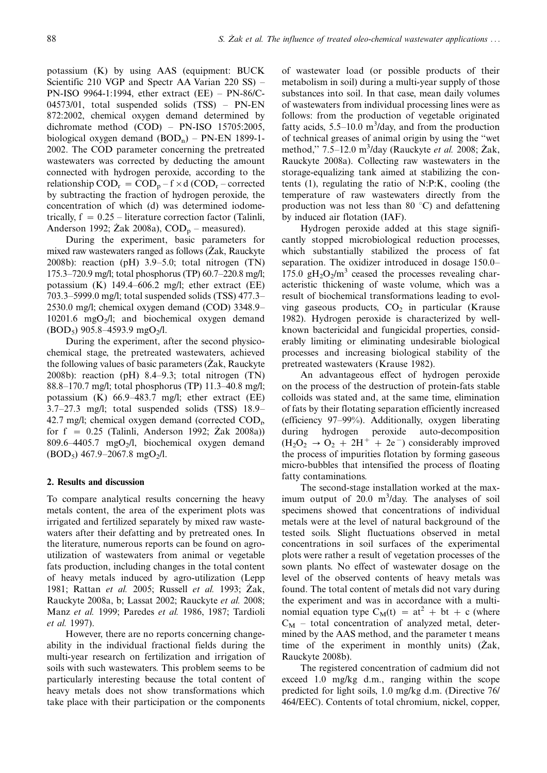potassium (K) by using AAS (equipment: BUCK Scientific 210 VGP and Spectr AA Varian 220 SS) – PN-ISO 9964-1:1994, ether extract (EE) - PN-86/C-04573/01, total suspended solids (TSS) – PN-EN 872:2002, chemical oxygen demand determined by dichromate method (COD) - PN-ISO 15705:2005, biological oxygen demand  $(BOD<sub>n</sub>)$  – PN-EN 1899-1-2002. The COD parameter concerning the pretreated wastewaters was corrected by deducting the amount connected with hydrogen peroxide, according to the relationship  $\text{COD}_r = \text{COD}_p - f \times d$  (COD<sub>r</sub> – corrected by subtracting the fraction of hydrogen peroxide, the concentration of which (d) was determined iodometrically,  $f = 0.25$  – literature correction factor (Talinli, Anderson 1992;  $\text{Zak } 2008a$ ),  $\text{COD}_{p}$  – measured).

During the experiment, basic parameters for mixed raw wastewaters ranged as follows  $(Zak, Rauckyte)$ 2008b): reaction (pH)  $3.9-5.0$ ; total nitrogen (TN) 175.3–720.9 mg/l; total phosphorus (TP)  $60.7-220.8$  mg/l; potassium  $(K)$  149.4–606.2 mg/l; ether extract  $(EE)$ 703.3–5999.0 mg/l; total suspended solids (TSS) 477.3– 2530.0 mg/l; chemical oxygen demand (COD) 3348.9 10201.6 mgO $_2$ /l; and biochemical oxygen demand  $(BOD<sub>5</sub>)$  905.8–4593.9 mgO<sub>2</sub>/l.

During the experiment, after the second physicochemical stage, the pretreated wastewaters, achieved the following values of basic parameters  $(Zak, Rauckyte)$ 2008b): reaction (pH)  $8.4-9.3$ ; total nitrogen (TN) 88.8–170.7 mg/l; total phosphorus (TP) 11.3–40.8 mg/l; potassium (K)  $66.9-483.7$  mg/l; ether extract (EE)  $3.7-27.3$  mg/l; total suspended solids (TSS) 18.9-42.7 mg/l; chemical oxygen demand (corrected  $\text{COD}_{r}$ , for  $f = 0.25$  (Talinli, Anderson 1992;  $\overline{Z}$ ak 2008a)) 809.6–4405.7 mgO<sub>2</sub>/l, biochemical oxygen demand  $(BOD<sub>5</sub>)$  467.9-2067.8 mgO<sub>2</sub>/l.

#### 2. Results and discussion

To compare analytical results concerning the heavy metals content, the area of the experiment plots was irrigated and fertilized separately by mixed raw wastewaters after their defatting and by pretreated ones. In the literature, numerous reports can be found on agroutilization of wastewaters from animal or vegetable fats production, including changes in the total content of heavy metals induced by agro-utilization (Lepp 1981; Rattan et al. 2005; Russell et al. 1993; Zak, Rauckyte 2008a, b; Lassat 2002; Rauckyte et al. 2008; Manz et al. 1999; Paredes et al. 1986, 1987; Tardioli et al. 1997).

However, there are no reports concerning changeability in the individual fractional fields during the multi-year research on fertilization and irrigation of soils with such wastewaters. This problem seems to be particularly interesting because the total content of heavy metals does not show transformations which take place with their participation or the components

of wastewater load (or possible products of their metabolism in soil) during a multi-year supply of those substances into soil. In that case, mean daily volumes of wastewaters from individual processing lines were as follows: from the production of vegetable originated fatty acids,  $5.5-10.0$  m<sup>3</sup>/day, and from the production of technical greases of animal origin by using the ''wet method," 7.5–12.0 m<sup>3</sup>/day (Rauckyte et al. 2008; Żak, Rauckyte 2008a). Collecting raw wastewaters in the storage-equalizing tank aimed at stabilizing the contents (1), regulating the ratio of N:P:K, cooling (the temperature of raw wastewaters directly from the production was not less than 80  $\degree$ C) and defattening by induced air flotation (IAF).

Hydrogen peroxide added at this stage significantly stopped microbiological reduction processes, which substantially stabilized the process of fat separation. The oxidizer introduced in dosage 150.0 175.0  $gH_2O_2/m^3$  ceased the processes revealing characteristic thickening of waste volume, which was a result of biochemical transformations leading to evolving gaseous products,  $CO<sub>2</sub>$  in particular (Krause 1982). Hydrogen peroxide is characterized by wellknown bactericidal and fungicidal properties, considerably limiting or eliminating undesirable biological processes and increasing biological stability of the pretreated wastewaters (Krause 1982).

An advantageous effect of hydrogen peroxide on the process of the destruction of protein-fats stable colloids was stated and, at the same time, elimination of fats by their flotating separation efficiently increased (efficiency 97-99%). Additionally, oxygen liberating during hydrogen peroxide auto-decomposition  $(H_2O_2 \rightarrow O_2 + 2H^+ + 2e^-)$  considerably improved the process of impurities flotation by forming gaseous micro-bubbles that intensified the process of floating fatty contaminations.

The second-stage installation worked at the maximum output of  $20.0 \text{ m}^3/\text{day}$ . The analyses of soil specimens showed that concentrations of individual metals were at the level of natural background of the tested soils. Slight fluctuations observed in metal concentrations in soil surfaces of the experimental plots were rather a result of vegetation processes of the sown plants. No effect of wastewater dosage on the level of the observed contents of heavy metals was found. The total content of metals did not vary during the experiment and was in accordance with a multinomial equation type  $C_M(t) = at^2 + bt + c$  (where  $C_M$  – total concentration of analyzed metal, determined by the AAS method, and the parameter t means time of the experiment in monthly units)  $(Zak,$ Rauckyte 2008b).

The registered concentration of cadmium did not exceed 1.0 mg/kg d.m., ranging within the scope predicted for light soils, 1.0 mg/kg d.m. (Directive 76/ 464/EEC). Contents of total chromium, nickel, copper,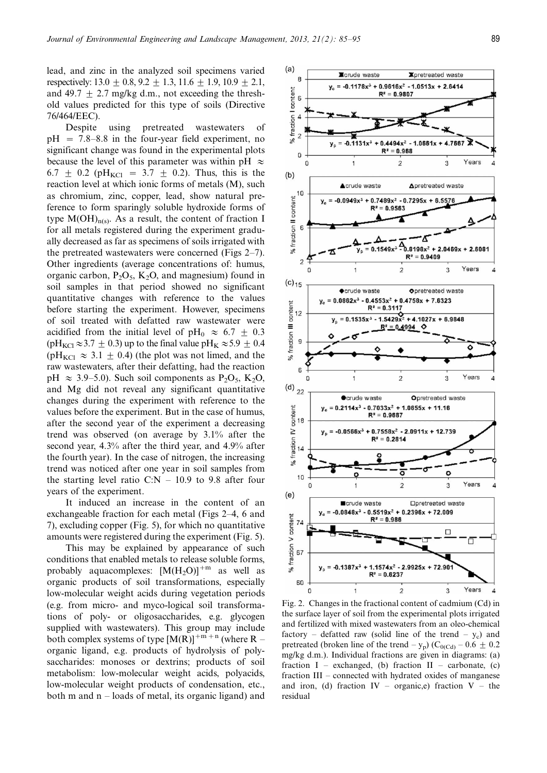lead, and zinc in the analyzed soil specimens varied respectively:  $13.0 \pm 0.8$ ,  $9.2 \pm 1.3$ ,  $11.6 \pm 1.9$ ,  $10.9 \pm 2.1$ , and 49.7  $\pm$  2.7 mg/kg d.m., not exceeding the threshold values predicted for this type of soils (Directive 76/464/EEC).

Despite using pretreated wastewaters of  $pH = 7.8-8.8$  in the four-year field experiment, no significant change was found in the experimental plots because the level of this parameter was within pH  $\approx$ 6.7  $\pm$  0.2 (pH<sub>KCl</sub> = 3.7  $\pm$  0.2). Thus, this is the reaction level at which ionic forms of metals (M), such as chromium, zinc, copper, lead, show natural preference to form sparingly soluble hydroxide forms of type  $M(OH)_{n(s)}$ . As a result, the content of fraction I for all metals registered during the experiment gradually decreased as far as specimens of soils irrigated with the pretreated wastewaters were concerned (Figs  $2-7$ ). Other ingredients (average concentrations of: humus, organic carbon,  $P_2O_5$ ,  $K_2O$ , and magnesium) found in soil samples in that period showed no significant quantitative changes with reference to the values before starting the experiment. However, specimens of soil treated with defatted raw wastewater were acidified from the initial level of pH<sub>0</sub>  $\approx$  6.7  $\pm$  0.3 (pH<sub>KCl</sub> $\approx$ 3.7  $\pm$  0.3) up to the final value pH<sub>K</sub> $\approx$ 5.9  $\pm$  0.4 (pH<sub>KCl</sub>  $\approx$  3.1  $\pm$  0.4) (the plot was not limed, and the raw wastewaters, after their defatting, had the reaction pH  $\approx$  3.9–5.0). Such soil components as P<sub>2</sub>O<sub>5</sub>, K<sub>2</sub>O, and Mg did not reveal any significant quantitative changes during the experiment with reference to the values before the experiment. But in the case of humus, after the second year of the experiment a decreasing trend was observed (on average by 3.1% after the second year, 4.3% after the third year, and 4.9% after the fourth year). In the case of nitrogen, the increasing trend was noticed after one year in soil samples from the starting level ratio C:N  $-$  10.9 to 9.8 after four years of the experiment.

It induced an increase in the content of an exchangeable fraction for each metal (Figs 2–4, 6 and 7), excluding copper (Fig. 5), for which no quantitative amounts were registered during the experiment (Fig. 5).

This may be explained by appearance of such conditions that enabled metals to release soluble forms, probably aquacomplexes:  $[M(H_2O)]^{+m}$  as well as organic products of soil transformations, especially low-molecular weight acids during vegetation periods (e.g. from micro- and myco-logical soil transformations of poly- or oligosaccharides, e.g. glycogen supplied with wastewaters). This group may include both complex systems of type  $[M(R)]^{+m+n}$  (where R – organic ligand, e.g. products of hydrolysis of polysaccharides: monoses or dextrins; products of soil metabolism: low-molecular weight acids, polyacids, low-molecular weight products of condensation, etc., both m and  $n -$  loads of metal, its organic ligand) and



Fig. 2. Changes in the fractional content of cadmium (Cd) in the surface layer of soil from the experimental plots irrigated and fertilized with mixed wastewaters from an oleo-chemical factory – defatted raw (solid line of the trend  $-$  y<sub>c</sub>) and pretreated (broken line of the trend  $-y_p$ ) (C<sub>0(Cd)</sub>  $-0.6 \pm 0.2$ mg/kg d.m.). Individual fractions are given in diagrams: (a) fraction  $I$  – exchanged, (b) fraction  $II$  – carbonate, (c) fraction III - connected with hydrated oxides of manganese and iron, (d) fraction  $IV -$  organic,e) fraction  $V -$  the residual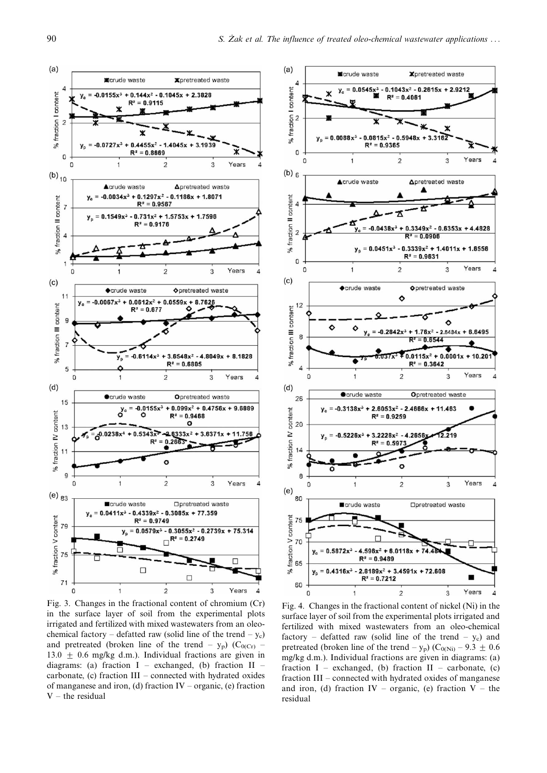

Fig. 3. Changes in the fractional content of chromium (Cr) in the surface layer of soil from the experimental plots irrigated and fertilized with mixed wastewaters from an oleochemical factory – defatted raw (solid line of the trend  $-y_c$ ) and pretreated (broken line of the trend  $-$  y<sub>p</sub>) (C<sub>0(Cr)</sub> 13.0  $\pm$  0.6 mg/kg d.m.). Individual fractions are given in diagrams: (a) fraction  $I$  – exchanged, (b) fraction  $II$  – carbonate, (c) fraction  $III$  – connected with hydrated oxides of manganese and iron, (d) fraction  $IV -$  organic, (e) fraction  $V -$  the residual



Fig. 4. Changes in the fractional content of nickel (Ni) in the surface layer of soil from the experimental plots irrigated and fertilized with mixed wastewaters from an oleo-chemical factory - defatted raw (solid line of the trend  $-$  y<sub>c</sub>) and pretreated (broken line of the trend  $-y_p$ ) (C<sub>0(Ni)</sub>  $-9.3 \pm 0.6$ mg/kg d.m.). Individual fractions are given in diagrams: (a) fraction  $I$  – exchanged, (b) fraction  $II$  – carbonate, (c) fraction III – connected with hydrated oxides of manganese and iron, (d) fraction IV – organic, (e) fraction V – the residual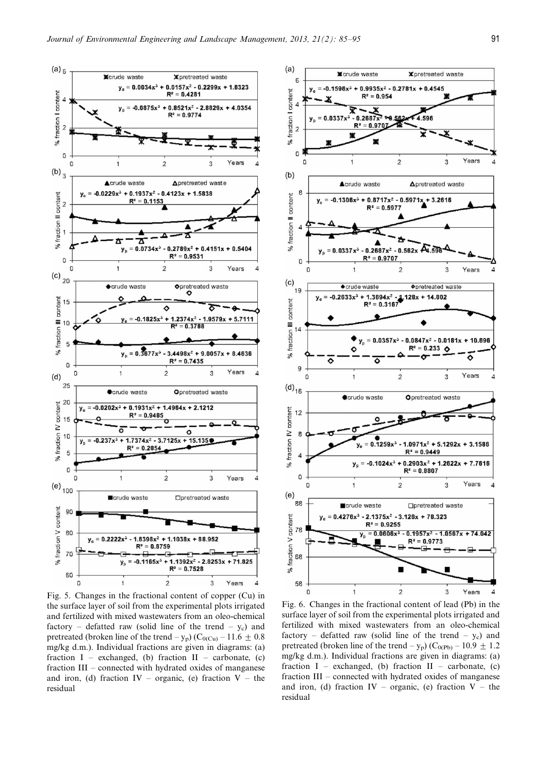

Fig. 5. Changes in the fractional content of copper (Cu) in the surface layer of soil from the experimental plots irrigated and fertilized with mixed wastewaters from an oleo-chemical factory – defatted raw (solid line of the trend  $-$  y<sub>c</sub>) and pretreated (broken line of the trend  $-y_p$ ) (C<sub>0(Cu)</sub> – 11.6  $\pm$  0.8 mg/kg d.m.). Individual fractions are given in diagrams: (a) fraction I – exchanged, (b) fraction II – carbonate, (c) fraction  $III$  – connected with hydrated oxides of manganese and iron, (d) fraction IV – organic, (e) fraction V – the residual



Fig. 6. Changes in the fractional content of lead (Pb) in the surface layer of soil from the experimental plots irrigated and fertilized with mixed wastewaters from an oleo-chemical factory – defatted raw (solid line of the trend  $-$  y<sub>c</sub>) and pretreated (broken line of the trend  $-y_p$ ) (C<sub>0(Pb)</sub>  $-10.9 \pm 1.2$ mg/kg d.m.). Individual fractions are given in diagrams: (a) fraction I – exchanged, (b) fraction II – carbonate, (c) fraction  $III$  – connected with hydrated oxides of manganese and iron, (d) fraction IV – organic, (e) fraction V – the residual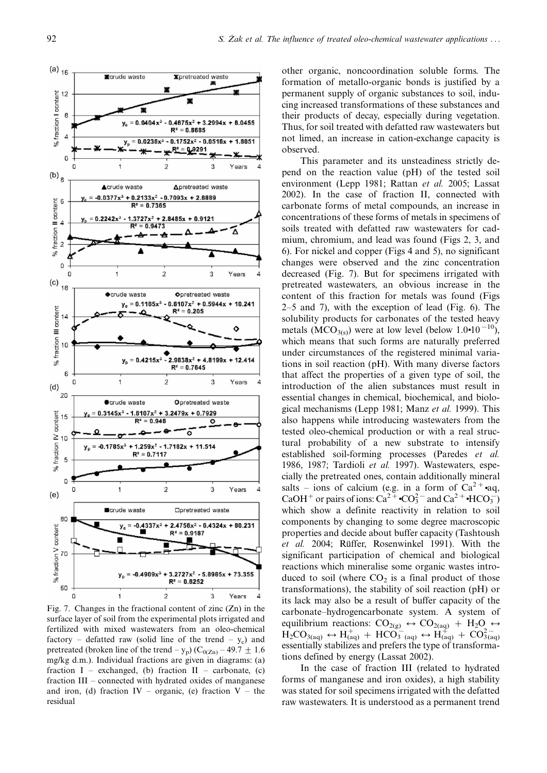

Fig. 7. Changes in the fractional content of zinc (Zn) in the surface layer of soil from the experimental plots irrigated and fertilized with mixed wastewaters from an oleo-chemical factory – defatted raw (solid line of the trend  $-$  y<sub>c</sub>) and pretreated (broken line of the trend  $-y_p$ ) (C<sub>0(Zn)</sub> – 49.7  $\pm$  1.6 mg/kg d.m.). Individual fractions are given in diagrams: (a) fraction  $I$  – exchanged, (b) fraction  $II$  – carbonate, (c) fraction  $III$  – connected with hydrated oxides of manganese and iron, (d) fraction IV – organic, (e) fraction V – the residual

other organic, noncoordination soluble forms. The formation of metallo-organic bonds is justified by a permanent supply of organic substances to soil, inducing increased transformations of these substances and their products of decay, especially during vegetation. Thus, for soil treated with defatted raw wastewaters but not limed, an increase in cation-exchange capacity is observed.

This parameter and its unsteadiness strictly depend on the reaction value (pH) of the tested soil environment (Lepp 1981; Rattan et al. 2005; Lassat 2002). In the case of fraction II, connected with carbonate forms of metal compounds, an increase in concentrations of these forms of metals in specimens of soils treated with defatted raw wastewaters for cadmium, chromium, and lead was found (Figs 2, 3, and 6). For nickel and copper (Figs 4 and 5), no significant changes were observed and the zinc concentration decreased (Fig. 7). But for specimens irrigated with pretreated wastewaters, an obvious increase in the content of this fraction for metals was found (Figs  $2-5$  and 7), with the exception of lead (Fig. 6). The solubility products for carbonates of the tested heavy metals ( $\text{MCO}_{3(s)}$ ) were at low level (below 1.0•10<sup>-10</sup>), which means that such forms are naturally preferred under circumstances of the registered minimal variations in soil reaction (pH). With many diverse factors that affect the properties of a given type of soil, the introduction of the alien substances must result in essential changes in chemical, biochemical, and biological mechanisms (Lepp 1981; Manz *et al.* 1999). This also happens while introducing wastewaters from the tested oleo-chemical production or with a real structural probability of a new substrate to intensify established soil-forming processes (Paredes et al. 1986, 1987; Tardioli et al. 1997). Wastewaters, especially the pretreated ones, contain additionally mineral salts – ions of calcium (e.g. in a form of  $Ca^{2+}$ •aq, CaOH<sup>+</sup> or pairs of ions: Ca<sup>2+</sup>  $\cdot$ CO<sub>3</sub><sup>-</sup> and Ca<sup>2+</sup> $\cdot$ HCO<sub>3</sub><sup>-</sup>) which show a definite reactivity in relation to soil components by changing to some degree macroscopic properties and decide about buffer capacity (Tashtoush et al. 2004; Rüffer, Rosenwinkel 1991). With the significant participation of chemical and biological reactions which mineralise some organic wastes introduced to soil (where  $CO<sub>2</sub>$  is a final product of those transformations), the stability of soil reaction (pH) or its lack may also be a result of buffer capacity of the carbonate-hydrogencarbonate system. A system of equilibrium reactions:  $CO_{2(g)} \leftrightarrow CO_{2(aq)} + H_2O \leftrightarrow$  $\text{H}_2\text{CO}_{3(aq)} \leftrightarrow \text{H}^+_{(aq)} + \text{HCO}_3^-_{(aq)} \leftrightarrow \text{H}^+_{(aq)} + \text{CO}_{3(aq)}^{2-}$ essentially stabilizes and prefers the type of transformations defined by energy (Lassat 2002).

In the case of fraction III (related to hydrated forms of manganese and iron oxides), a high stability was stated for soil specimens irrigated with the defatted raw wastewaters. It is understood as a permanent trend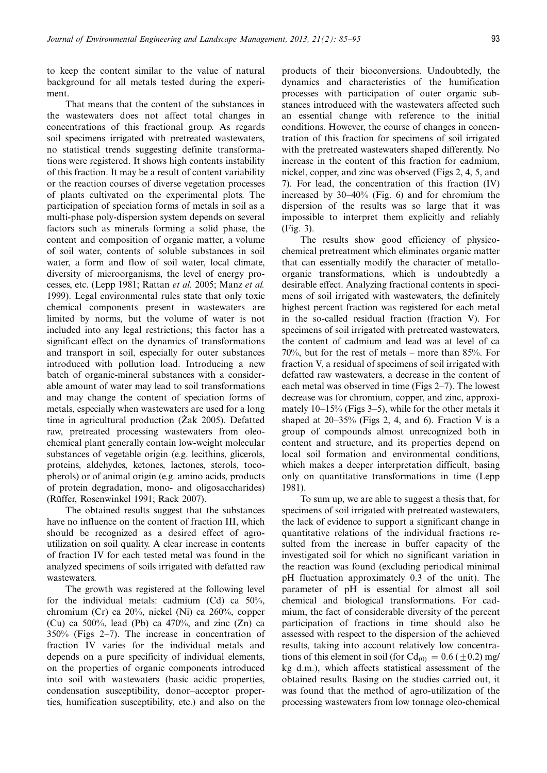to keep the content similar to the value of natural background for all metals tested during the experiment.

That means that the content of the substances in the wastewaters does not affect total changes in concentrations of this fractional group. As regards soil specimens irrigated with pretreated wastewaters, no statistical trends suggesting definite transformations were registered. It shows high contents instability of this fraction. It may be a result of content variability or the reaction courses of diverse vegetation processes of plants cultivated on the experimental plots. The participation of speciation forms of metals in soil as a multi-phase poly-dispersion system depends on several factors such as minerals forming a solid phase, the content and composition of organic matter, a volume of soil water, contents of soluble substances in soil water, a form and flow of soil water, local climate, diversity of microorganisms, the level of energy processes, etc. (Lepp 1981; Rattan et al. 2005; Manz et al. 1999). Legal environmental rules state that only toxic chemical components present in wastewaters are limited by norms, but the volume of water is not included into any legal restrictions; this factor has a significant effect on the dynamics of transformations and transport in soil, especially for outer substances introduced with pollution load. Introducing a new batch of organic-mineral substances with a considerable amount of water may lead to soil transformations and may change the content of speciation forms of metals, especially when wastewaters are used for a long time in agricultural production  $(Zak 2005)$ . Defatted raw, pretreated processing wastewaters from oleochemical plant generally contain low-weight molecular substances of vegetable origin (e.g. lecithins, glicerols, proteins, aldehydes, ketones, lactones, sterols, tocopherols) or of animal origin (e.g. amino acids, products of protein degradation, mono- and oligosaccharides) (Rüffer, Rosenwinkel 1991; Rack 2007).

The obtained results suggest that the substances have no influence on the content of fraction III, which should be recognized as a desired effect of agroutilization on soil quality. A clear increase in contents of fraction IV for each tested metal was found in the analyzed specimens of soils irrigated with defatted raw wastewaters.

The growth was registered at the following level for the individual metals: cadmium (Cd) ca 50%, chromium (Cr) ca 20%, nickel (Ni) ca 260%, copper (Cu) ca 500%, lead (Pb) ca 470%, and zinc  $(Zn)$  ca  $350\%$  (Figs 2–7). The increase in concentration of fraction IV varies for the individual metals and depends on a pure specificity of individual elements, on the properties of organic components introduced into soil with wastewaters (basic-acidic properties, condensation susceptibility, donor-acceptor properties, humification susceptibility, etc.) and also on the

products of their bioconversions. Undoubtedly, the dynamics and characteristics of the humification processes with participation of outer organic substances introduced with the wastewaters affected such an essential change with reference to the initial conditions. However, the course of changes in concentration of this fraction for specimens of soil irrigated with the pretreated wastewaters shaped differently. No increase in the content of this fraction for cadmium, nickel, copper, and zinc was observed (Figs 2, 4, 5, and 7). For lead, the concentration of this fraction (IV) increased by  $30-40\%$  (Fig. 6) and for chromium the dispersion of the results was so large that it was impossible to interpret them explicitly and reliably (Fig. 3).

The results show good efficiency of physicochemical pretreatment which eliminates organic matter that can essentially modify the character of metalloorganic transformations, which is undoubtedly a desirable effect. Analyzing fractional contents in specimens of soil irrigated with wastewaters, the definitely highest percent fraction was registered for each metal in the so-called residual fraction (fraction V). For specimens of soil irrigated with pretreated wastewaters, the content of cadmium and lead was at level of ca  $70\%$ , but for the rest of metals – more than 85%. For fraction V, a residual of specimens of soil irrigated with defatted raw wastewaters, a decrease in the content of each metal was observed in time (Figs  $2-7$ ). The lowest decrease was for chromium, copper, and zinc, approximately  $10-15%$  (Figs 3–5), while for the other metals it shaped at  $20-35%$  (Figs 2, 4, and 6). Fraction V is a group of compounds almost unrecognized both in content and structure, and its properties depend on local soil formation and environmental conditions, which makes a deeper interpretation difficult, basing only on quantitative transformations in time (Lepp 1981).

To sum up, we are able to suggest a thesis that, for specimens of soil irrigated with pretreated wastewaters, the lack of evidence to support a significant change in quantitative relations of the individual fractions resulted from the increase in buffer capacity of the investigated soil for which no significant variation in the reaction was found (excluding periodical minimal pH fluctuation approximately 0.3 of the unit). The parameter of pH is essential for almost all soil chemical and biological transformations. For cadmium, the fact of considerable diversity of the percent participation of fractions in time should also be assessed with respect to the dispersion of the achieved results, taking into account relatively low concentrations of this element in soil (for  $Cd_{(0)} = 0.6 (\pm 0.2)$  mg/ kg d.m.), which affects statistical assessment of the obtained results. Basing on the studies carried out, it was found that the method of agro-utilization of the processing wastewaters from low tonnage oleo-chemical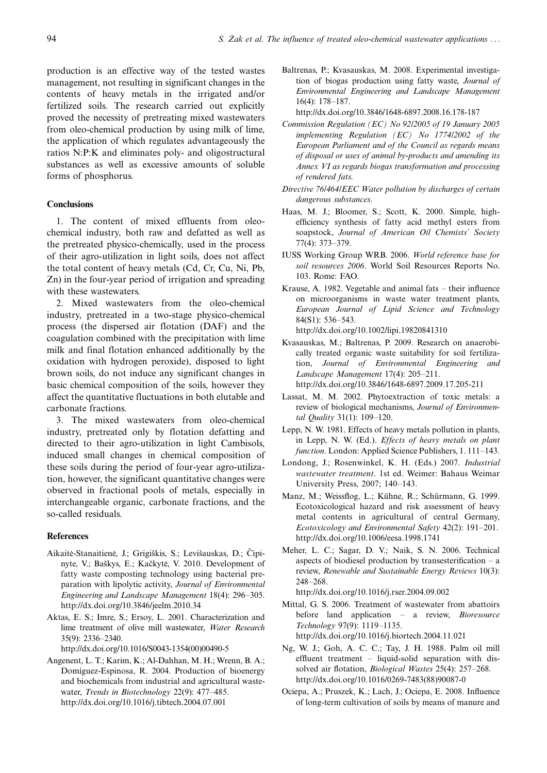production is an effective way of the tested wastes management, not resulting in significant changes in the contents of heavy metals in the irrigated and/or fertilized soils. The research carried out explicitly proved the necessity of pretreating mixed wastewaters from oleo-chemical production by using milk of lime, the application of which regulates advantageously the ratios N:P:K and eliminates poly- and oligostructural substances as well as excessive amounts of soluble forms of phosphorus.

## **Conclusions**

1. The content of mixed effluents from oleochemical industry, both raw and defatted as well as the pretreated physico-chemically, used in the process of their agro-utilization in light soils, does not affect the total content of heavy metals (Cd, Cr, Cu, Ni, Pb, Zn) in the four-year period of irrigation and spreading with these wastewaters.

2. Mixed wastewaters from the oleo-chemical industry, pretreated in a two-stage physico-chemical process (the dispersed air flotation (DAF) and the coagulation combined with the precipitation with lime milk and final flotation enhanced additionally by the oxidation with hydrogen peroxide), disposed to light brown soils, do not induce any significant changes in basic chemical composition of the soils, however they affect the quantitative fluctuations in both elutable and carbonate fractions.

3. The mixed wastewaters from oleo-chemical industry, pretreated only by flotation defatting and directed to their agro-utilization in light Cambisols, induced small changes in chemical composition of these soils during the period of four-year agro-utilization, however, the significant quantitative changes were observed in fractional pools of metals, especially in interchangeable organic, carbonate fractions, and the so-called residuals.

## **References**

- Aikaitė-Stanaitienė, J.; Grigiškis, S.; Levišauskas, D.; Čipinyte, V.; Baškys, E.; Kačkytė, V. 2010. Development of fatty waste composting technology using bacterial preparation with lipolytic activity, Journal of Environmental Engineering and Landscape Management 18(4): 296–305. <http://dx.doi.org/10.3846/jeelm.2010.34>
- Aktas, E. S.; Imre, S.; Ersoy, L. 2001. Characterization and lime treatment of olive mill wastewater, Water Research 35(9): 2336-2340.

[http://dx.doi.org/10.1016/S0043-1354\(00\)00490-5](http://dx.doi.org/10.1016/S0043-1354(00)00490-5)

Angenent, L. T.; Karim, K.; Al-Dahhan, M. H.; Wrenn, B. A.; Domíguez-Espinosa, R. 2004. Production of bioenergy and biochemicals from industrial and agricultural wastewater, Trends in Biotechnology 22(9): 477-485. <http://dx.doi.org/10.1016/j.tibtech.2004.07.001>

Baltrenas, P.; Kvasauskas, M. 2008. Experimental investigation of biogas production using fatty waste, Journal of Environmental Engineering and Landscape Management  $16(4): 178-187.$ 

<http://dx.doi.org/10.3846/1648-6897.2008.16.178-187>

- Commission Regulation (EC) No 92/2005 of 19 January 2005 implementing Regulation (EC) No 1774/2002 of the European Parliament and of the Council as regards means of disposal or uses of animal by-products and amending its Annex VI as regards biogas transformation and processing of rendered fats.
- Directive 76/464/EEC Water pollution by discharges of certain dangerous substances.
- Haas, M. J.; Bloomer, S.; Scott, K. 2000. Simple, highefficiency synthesis of fatty acid methyl esters from soapstock, Journal of American Oil Chemists' Society 77(4): 373-379.
- IUSS Working Group WRB. 2006. World reference base for soil resources 2006. World Soil Resources Reports No. 103. Rome: FAO.
- Krause, A. 1982. Vegetable and animal fats  $-$  their influence on microorganisms in waste water treatment plants, European Journal of Lipid Science and Technology 84(S1): 536-543. <http://dx.doi.org/10.1002/lipi.19820841310>
- Kvasauskas, M.; Baltrenas, P. 2009. Research on anaerobically treated organic waste suitability for soil fertilization, Journal of Environmental Engineering and Landscape Management 17(4): 205-211. <http://dx.doi.org/10.3846/1648-6897.2009.17.205-211>
- Lassat, M. M. 2002. Phytoextraction of toxic metals: a review of biological mechanisms, Journal of Environmental Quality 31(1):  $109-120$ .
- Lepp, N. W. 1981. Effects of heavy metals pollution in plants, in Lepp, N. W. (Ed.). Effects of heavy metals on plant function. London: Applied Science Publishers, 1.111-143.
- Londong, J.; Rosenwinkel, K. H. (Eds.) 2007. Industrial wastewater treatment. 1st ed. Weimer: Bahaus Weimar University Press, 2007; 140-143.
- Manz, M.; Weissflog, L.; Kühne, R.; Schürmann, G. 1999. Ecotoxicological hazard and risk assessment of heavy metal contents in agricultural of central Germany, Ecotoxicology and Environmental Safety 42(2): 191-201. <http://dx.doi.org/10.1006/eesa.1998.1741>
- Meher, L. C.; Sagar, D. V.; Naik, S. N. 2006. Technical aspects of biodiesel production by transesterification  $-$  a review, Renewable and Sustainable Energy Reviews 10(3): 248-268.

<http://dx.doi.org/10.1016/j.rser.2004.09.002>

- Mittal, G. S. 2006. Treatment of wastewater from abattoirs before land application  $-$  a review, *Bioresource* Technology 97(9): 1119-1135. <http://dx.doi.org/10.1016/j.biortech.2004.11.021>
- Ng, W. J.; Goh, A. C. C.; Tay, J. H. 1988. Palm oil mill effluent treatment  $-$  liquid-solid separation with dissolved air flotation, *Biological Wastes*  $25(4)$ :  $257-268$ . [http://dx.doi.org/10.1016/0269-7483\(88\)90087-0](http://dx.doi.org/10.1016/0269-7483(88)90087-0)
- Ociepa, A.; Pruszek, K.; Lach, J.; Ociepa, E. 2008. Influence of long-term cultivation of soils by means of manure and